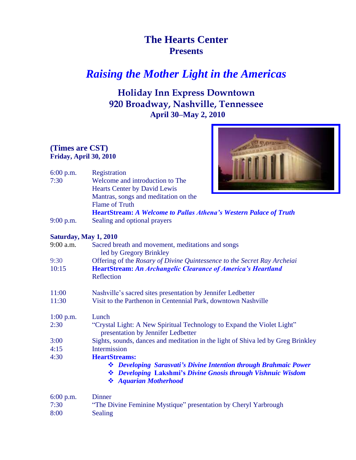# **The Hearts Center Presents**

# *Raising the Mother Light in the Americas*

## **Holiday Inn Express Downtown 920 Broadway, Nashville, Tennessee April 30–May 2, 2010**

## **(Times are CST) Friday, April 30, 2010**



| $6:00$ p.m.<br>7:30 | Registration<br>Welcome and introduction to The<br><b>Hearts Center by David Lewis</b> |  |
|---------------------|----------------------------------------------------------------------------------------|--|
|                     | Mantras, songs and meditation on the<br><b>Flame of Truth</b>                          |  |
|                     | <b>HeartStream:</b> A Welcome to Pallas Athena's Western Palace of Truth               |  |

9:00 p.m. Sealing and optional prayers

### **Saturday, May 1, 2010**

| $9:00$ a.m. | Sacred breath and movement, meditations and songs<br>led by Gregory Brinkley                                                                              |  |  |
|-------------|-----------------------------------------------------------------------------------------------------------------------------------------------------------|--|--|
| 9:30        | Offering of the Rosary of Divine Quintessence to the Secret Ray Archeiai                                                                                  |  |  |
| 10:15       | <b>HeartStream: An Archangelic Clearance of America's Heartland</b><br>Reflection                                                                         |  |  |
| 11:00       | Nashville's sacred sites presentation by Jennifer Ledbetter                                                                                               |  |  |
| 11:30       | Visit to the Parthenon in Centennial Park, downtown Nashville                                                                                             |  |  |
| $1:00$ p.m. | Lunch                                                                                                                                                     |  |  |
| 2:30        | "Crystal Light: A New Spiritual Technology to Expand the Violet Light"<br>presentation by Jennifer Ledbetter                                              |  |  |
| 3:00        | Sights, sounds, dances and meditation in the light of Shiva led by Greg Brinkley                                                                          |  |  |
| 4:15        | <b>Intermission</b>                                                                                                                                       |  |  |
| 4:30        | <b>HeartStreams:</b>                                                                                                                                      |  |  |
|             | ❖ Developing Sarasvati's Divine Intention through Brahmaic Power<br>❖ Developing Lakshmi's Divine Gnosis through Vishnuic Wisdom<br>❖ Aquarian Motherhood |  |  |
| 6:00 p.m.   | <b>Dinner</b>                                                                                                                                             |  |  |
| 7:30        | "The Divine Feminine Mystique" presentation by Cheryl Yarbrough                                                                                           |  |  |
| 8:00        | Sealing                                                                                                                                                   |  |  |